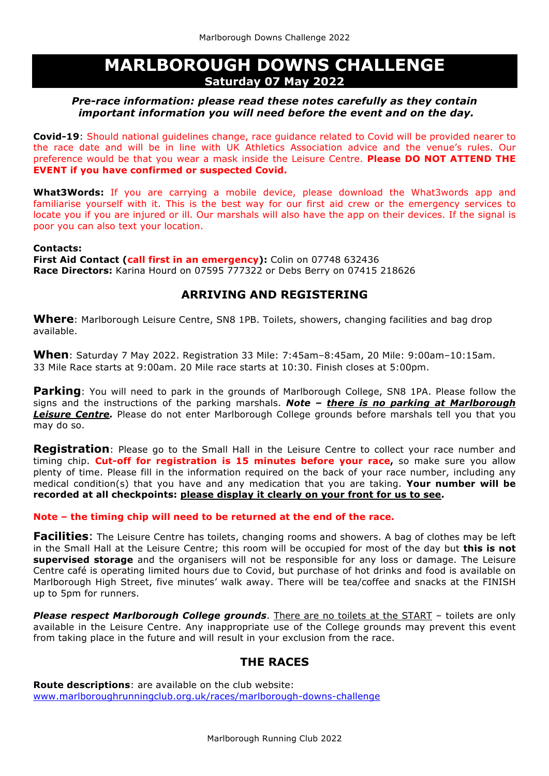# **MARLBOROUGH DOWNS CHALLENGE Saturday 07 May 2022**

## *Pre-race information: please read these notes carefully as they contain important information you will need before the event and on the day.*

**Covid-19**: Should national guidelines change, race guidance related to Covid will be provided nearer to the race date and will be in line with UK Athletics Association advice and the venue's rules. Our preference would be that you wear a mask inside the Leisure Centre. **Please DO NOT ATTEND THE EVENT if you have confirmed or suspected Covid.**

**What3Words:** If you are carrying a mobile device, please download the What3words app and familiarise yourself with it. This is the best way for our first aid crew or the emergency services to locate you if you are injured or ill. Our marshals will also have the app on their devices. If the signal is poor you can also text your location.

### **Contacts:**

**First Aid Contact (call first in an emergency):** Colin on 07748 632436 **Race Directors:** Karina Hourd on 07595 777322 or Debs Berry on 07415 218626

# **ARRIVING AND REGISTERING**

**Where**: Marlborough Leisure Centre, SN8 1PB. Toilets, showers, changing facilities and bag drop available.

**When**: Saturday 7 May 2022. Registration 33 Mile: 7:45am–8:45am, 20 Mile: 9:00am–10:15am. 33 Mile Race starts at 9:00am. 20 Mile race starts at 10:30. Finish closes at 5:00pm.

**Parking**: You will need to park in the grounds of Marlborough College, SN8 1PA. Please follow the signs and the instructions of the parking marshals. *Note – there is no parking at Marlborough Leisure Centre.* Please do not enter Marlborough College grounds before marshals tell you that you may do so.

**Registration**: Please go to the Small Hall in the Leisure Centre to collect your race number and timing chip. **Cut-off for registration is 15 minutes before your race,** so make sure you allow plenty of time. Please fill in the information required on the back of your race number, including any medical condition(s) that you have and any medication that you are taking. **Your number will be recorded at all checkpoints: please display it clearly on your front for us to see.**

#### **Note – the timing chip will need to be returned at the end of the race.**

**Facilities**: The Leisure Centre has toilets, changing rooms and showers. A bag of clothes may be left in the Small Hall at the Leisure Centre; this room will be occupied for most of the day but **this is not supervised storage** and the organisers will not be responsible for any loss or damage. The Leisure Centre café is operating limited hours due to Covid, but purchase of hot drinks and food is available on Marlborough High Street, five minutes' walk away. There will be tea/coffee and snacks at the FINISH up to 5pm for runners.

*Please respect Marlborough College grounds*. There are no toilets at the START – toilets are only available in the Leisure Centre. Any inappropriate use of the College grounds may prevent this event from taking place in the future and will result in your exclusion from the race.

# **THE RACES**

**Route descriptions**: are available on the club website: www.marlboroughrunningclub.org.uk/races/marlborough-downs-challenge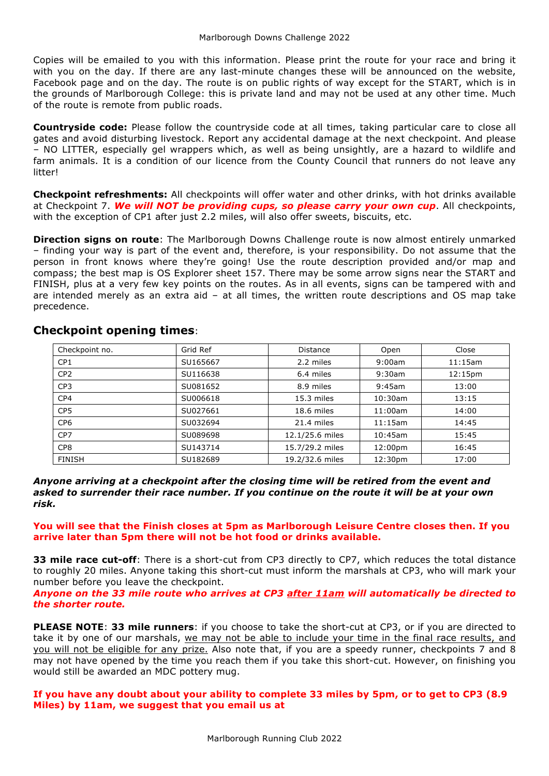Copies will be emailed to you with this information. Please print the route for your race and bring it with you on the day. If there are any last-minute changes these will be announced on the website, Facebook page and on the day. The route is on public rights of way except for the START, which is in the grounds of Marlborough College: this is private land and may not be used at any other time. Much of the route is remote from public roads.

**Countryside code:** Please follow the countryside code at all times, taking particular care to close all gates and avoid disturbing livestock. Report any accidental damage at the next checkpoint. And please – NO LITTER, especially gel wrappers which, as well as being unsightly, are a hazard to wildlife and farm animals. It is a condition of our licence from the County Council that runners do not leave any **litter!** 

**Checkpoint refreshments:** All checkpoints will offer water and other drinks, with hot drinks available at Checkpoint 7. *We will NOT be providing cups, so please carry your own cup*. All checkpoints, with the exception of CP1 after just 2.2 miles, will also offer sweets, biscuits, etc.

**Direction signs on route**: The Marlborough Downs Challenge route is now almost entirely unmarked – finding your way is part of the event and, therefore, is your responsibility. Do not assume that the person in front knows where they're going! Use the route description provided and/or map and compass; the best map is OS Explorer sheet 157. There may be some arrow signs near the START and FINISH, plus at a very few key points on the routes. As in all events, signs can be tampered with and are intended merely as an extra aid – at all times, the written route descriptions and OS map take precedence.

| Checkpoint no.  | Grid Ref | <b>Distance</b> | Open       | Close               |
|-----------------|----------|-----------------|------------|---------------------|
| CP <sub>1</sub> | SU165667 | 2.2 miles       | 9:00am     | 11:15am             |
| CP <sub>2</sub> | SU116638 | 6.4 miles       | 9:30am     | 12:15 <sub>pm</sub> |
| CP <sub>3</sub> | SU081652 | 8.9 miles       | 9:45am     | 13:00               |
| CP <sub>4</sub> | SU006618 | 15.3 miles      | $10:30$ am | 13:15               |
| CP <sub>5</sub> | SU027661 | 18.6 miles      | 11:00am    | 14:00               |
| CP <sub>6</sub> | SU032694 | 21.4 miles      | 11:15am    | 14:45               |
| CP <sub>7</sub> | SU089698 | 12.1/25.6 miles | $10:45$ am | 15:45               |
| CP <sub>8</sub> | SU143714 | 15.7/29.2 miles | 12:00pm    | 16:45               |
| <b>FINISH</b>   | SU182689 | 19.2/32.6 miles | 12:30pm    | 17:00               |

## **Checkpoint opening times**:

*Anyone arriving at a checkpoint after the closing time will be retired from the event and asked to surrender their race number. If you continue on the route it will be at your own risk.*

**You will see that the Finish closes at 5pm as Marlborough Leisure Centre closes then. If you arrive later than 5pm there will not be hot food or drinks available.**

**33 mile race cut-off**: There is a short-cut from CP3 directly to CP7, which reduces the total distance to roughly 20 miles. Anyone taking this short-cut must inform the marshals at CP3, who will mark your number before you leave the checkpoint.

*Anyone on the 33 mile route who arrives at CP3 after 11am will automatically be directed to the shorter route.*

**PLEASE NOTE**: **33 mile runners**: if you choose to take the short-cut at CP3, or if you are directed to take it by one of our marshals, we may not be able to include your time in the final race results, and you will not be eligible for any prize. Also note that, if you are a speedy runner, checkpoints 7 and 8 may not have opened by the time you reach them if you take this short-cut. However, on finishing you would still be awarded an MDC pottery mug.

### **If you have any doubt about your ability to complete 33 miles by 5pm, or to get to CP3 (8.9 Miles) by 11am, we suggest that you email us at**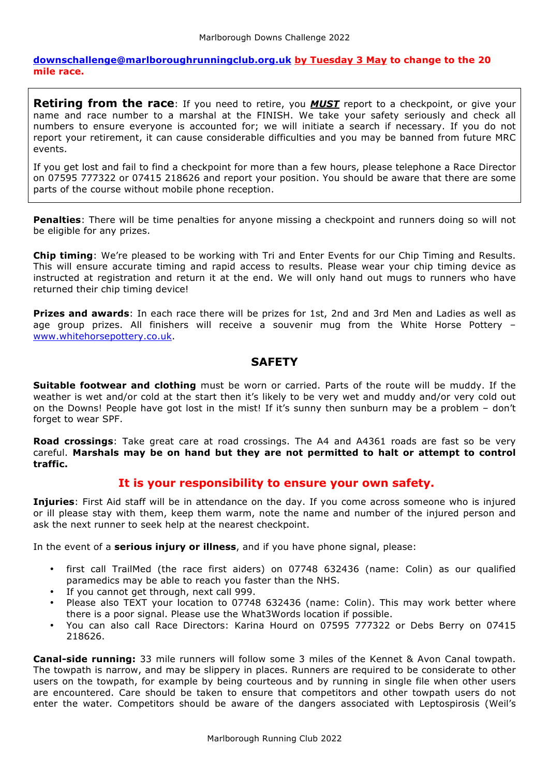**downschallenge@marlboroughrunningclub.org.uk by Tuesday 3 May to change to the 20 mile race.** 

**Retiring from the race**: If you need to retire, you *MUST* report to a checkpoint, or give your name and race number to a marshal at the FINISH. We take your safety seriously and check all numbers to ensure everyone is accounted for; we will initiate a search if necessary. If you do not report your retirement, it can cause considerable difficulties and you may be banned from future MRC events.

If you get lost and fail to find a checkpoint for more than a few hours, please telephone a Race Director on 07595 777322 or 07415 218626 and report your position. You should be aware that there are some parts of the course without mobile phone reception.

**Penalties**: There will be time penalties for anyone missing a checkpoint and runners doing so will not be eligible for any prizes.

**Chip timing**: We're pleased to be working with Tri and Enter Events for our Chip Timing and Results. This will ensure accurate timing and rapid access to results. Please wear your chip timing device as instructed at registration and return it at the end. We will only hand out mugs to runners who have returned their chip timing device!

**Prizes and awards**: In each race there will be prizes for 1st, 2nd and 3rd Men and Ladies as well as age group prizes. All finishers will receive a souvenir mug from the White Horse Pottery – www.whitehorsepottery.co.uk.

# **SAFETY**

**Suitable footwear and clothing** must be worn or carried. Parts of the route will be muddy. If the weather is wet and/or cold at the start then it's likely to be very wet and muddy and/or very cold out on the Downs! People have got lost in the mist! If it's sunny then sunburn may be a problem – don't forget to wear SPF.

**Road crossings**: Take great care at road crossings. The A4 and A4361 roads are fast so be very careful. **Marshals may be on hand but they are not permitted to halt or attempt to control traffic.**

## **It is your responsibility to ensure your own safety.**

**Injuries**: First Aid staff will be in attendance on the day. If you come across someone who is injured or ill please stay with them, keep them warm, note the name and number of the injured person and ask the next runner to seek help at the nearest checkpoint.

In the event of a **serious injury or illness**, and if you have phone signal, please:

- first call TrailMed (the race first aiders) on 07748 632436 (name: Colin) as our qualified paramedics may be able to reach you faster than the NHS.
- If you cannot get through, next call 999.
- Please also TEXT your location to 07748 632436 (name: Colin). This may work better where there is a poor signal. Please use the What3Words location if possible.
- You can also call Race Directors: Karina Hourd on 07595 777322 or Debs Berry on 07415 218626.

**Canal-side running:** 33 mile runners will follow some 3 miles of the Kennet & Avon Canal towpath. The towpath is narrow, and may be slippery in places. Runners are required to be considerate to other users on the towpath, for example by being courteous and by running in single file when other users are encountered. Care should be taken to ensure that competitors and other towpath users do not enter the water. Competitors should be aware of the dangers associated with Leptospirosis (Weil's